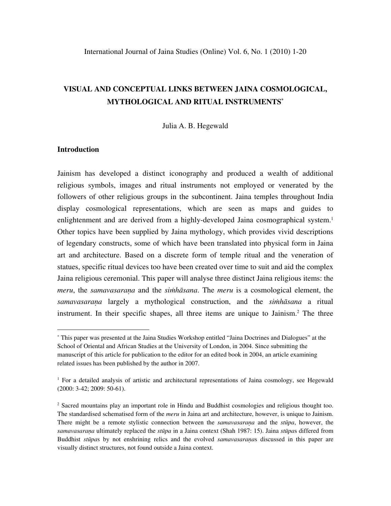# **VISUAL AND CONCEPTUAL LINKS BETWEEN JAINA COSMOLOGICAL, MYTHOLOGICAL AND RITUAL INSTRUMENTS\***

Julia A. B. Hegewald

# **Introduction**

 $\overline{a}$ 

Jainism has developed a distinct iconography and produced a wealth of additional religious symbols, images and ritual instruments not employed or venerated by the followers of other religious groups in the subcontinent. Jaina temples throughout India display cosmological representations, which are seen as maps and guides to enlightenment and are derived from a highly-developed Jaina cosmographical system.<sup>1</sup> Other topics have been supplied by Jaina mythology, which provides vivid descriptions of legendary constructs, some of which have been translated into physical form in Jaina art and architecture. Based on a discrete form of temple ritual and the veneration of statues, specific ritual devices too have been created over time to suit and aid the complex Jaina religious ceremonial. This paper will analyse three distinct Jaina religious items: the *meru*, the *samavasarana* and the *simhāsana*. The *meru* is a cosmological element, the *samavasaraṇa* largely a mythological construction, and the *siṁhāsana* a ritual instrument. In their specific shapes, all three items are unique to Jainism.<sup>2</sup> The three

<sup>\*</sup> This paper was presented at the Jaina Studies Workshop entitled "Jaina Doctrines and Dialogues" at the School of Oriental and African Studies at the University of London, in 2004. Since submitting the manuscript of this article for publication to the editor for an edited book in 2004, an article examining related issues has been published by the author in 2007.

<sup>&</sup>lt;sup>1</sup> For a detailed analysis of artistic and architectural representations of Jaina cosmology, see Hegewald (2000: 3-42; 2009: 50-61).

<sup>2</sup> Sacred mountains play an important role in Hindu and Buddhist cosmologies and religious thought too. The standardised schematised form of the *meru* in Jaina art and architecture, however, is unique to Jainism. There might be a remote stylistic connection between the *samavasaraṇa* and the *stūpa*, however, the *samavasaraṇa* ultimately replaced the *stūpa* in a Jaina context (Shah 1987: 15). Jaina *stūpa*s differed from Buddhist *stūpa*s by not enshrining relics and the evolved *samavasaraṇa*s discussed in this paper are visually distinct structures, not found outside a Jaina context.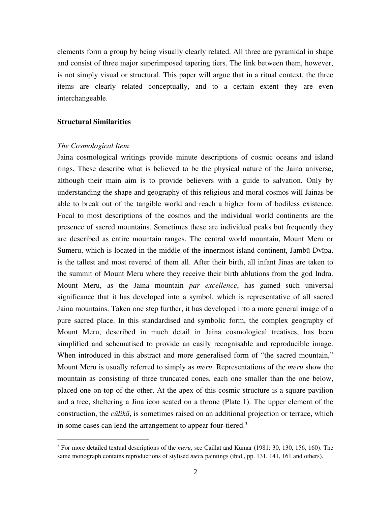elements form a group by being visually clearly related. All three are pyramidal in shape and consist of three major superimposed tapering tiers. The link between them, however, is not simply visual or structural. This paper will argue that in a ritual context, the three items are clearly related conceptually, and to a certain extent they are even interchangeable.

# **Structural Similarities**

# *The Cosmological Item*

 $\overline{a}$ 

Jaina cosmological writings provide minute descriptions of cosmic oceans and island rings. These describe what is believed to be the physical nature of the Jaina universe, although their main aim is to provide believers with a guide to salvation. Only by understanding the shape and geography of this religious and moral cosmos will Jainas be able to break out of the tangible world and reach a higher form of bodiless existence. Focal to most descriptions of the cosmos and the individual world continents are the presence of sacred mountains. Sometimes these are individual peaks but frequently they are described as entire mountain ranges. The central world mountain, Mount Meru or Sumeru, which is located in the middle of the innermost island continent, Jambū Dvīpa, is the tallest and most revered of them all. After their birth, all infant Jinas are taken to the summit of Mount Meru where they receive their birth ablutions from the god Indra. Mount Meru, as the Jaina mountain *par excellence*, has gained such universal significance that it has developed into a symbol, which is representative of all sacred Jaina mountains. Taken one step further, it has developed into a more general image of a pure sacred place. In this standardised and symbolic form, the complex geography of Mount Meru, described in much detail in Jaina cosmological treatises, has been simplified and schematised to provide an easily recognisable and reproducible image. When introduced in this abstract and more generalised form of "the sacred mountain," Mount Meru is usually referred to simply as *meru*. Representations of the *meru* show the mountain as consisting of three truncated cones, each one smaller than the one below, placed one on top of the other. At the apex of this cosmic structure is a square pavilion and a tree, sheltering a Jina icon seated on a throne (Plate 1). The upper element of the construction, the *cūlikā*, is sometimes raised on an additional projection or terrace, which in some cases can lead the arrangement to appear four-tiered.3

<sup>3</sup> For more detailed textual descriptions of the *meru*, see Caillat and Kumar (1981: 30, 130, 156, 160). The same monograph contains reproductions of stylised *meru* paintings (ibid., pp. 131, 141, 161 and others).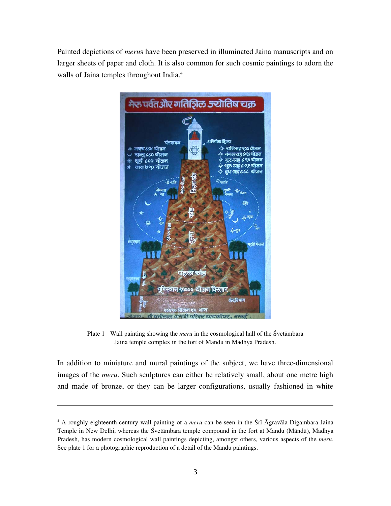Painted depictions of *meru*s have been preserved in illuminated Jaina manuscripts and on larger sheets of paper and cloth. It is also common for such cosmic paintings to adorn the walls of Jaina temples throughout India.<sup>4</sup>



Plate 1 Wall painting showing the *meru* in the cosmological hall of the Śvetāmbara Jaina temple complex in the fort of Mandu in Madhya Pradesh.

In addition to miniature and mural paintings of the subject, we have three-dimensional images of the *meru*. Such sculptures can either be relatively small, about one metre high and made of bronze, or they can be larger configurations, usually fashioned in white

<sup>4</sup> A roughly eighteenth-century wall painting of a *meru* can be seen in the Śrī Āgravāla Digambara Jaina Temple in New Delhi, whereas the Śvetāmbara temple compound in the fort at Mandu (Māndū), Madhya Pradesh, has modern cosmological wall paintings depicting, amongst others, various aspects of the *meru*. See plate 1 for a photographic reproduction of a detail of the Mandu paintings.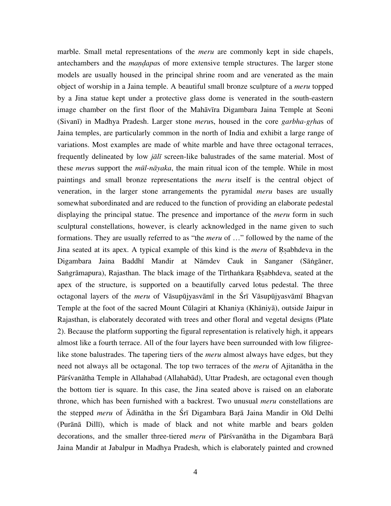marble. Small metal representations of the *meru* are commonly kept in side chapels, antechambers and the *maṇḍapa*s of more extensive temple structures. The larger stone models are usually housed in the principal shrine room and are venerated as the main object of worship in a Jaina temple. A beautiful small bronze sculpture of a *meru* topped by a Jina statue kept under a protective glass dome is venerated in the south-eastern image chamber on the first floor of the Mahāvīra Digambara Jaina Temple at Seoni (Sivanī) in Madhya Pradesh. Larger stone *meru*s, housed in the core *garbha-gṛha*s of Jaina temples, are particularly common in the north of India and exhibit a large range of variations. Most examples are made of white marble and have three octagonal terraces, frequently delineated by low *jālī* screen-like balustrades of the same material. Most of these *meru*s support the *mūl-nāyaka*, the main ritual icon of the temple. While in most paintings and small bronze representations the *meru* itself is the central object of veneration, in the larger stone arrangements the pyramidal *meru* bases are usually somewhat subordinated and are reduced to the function of providing an elaborate pedestal displaying the principal statue. The presence and importance of the *meru* form in such sculptural constellations, however, is clearly acknowledged in the name given to such formations. They are usually referred to as "the *meru* of …" followed by the name of the Jina seated at its apex. A typical example of this kind is the *meru* of Ṛṣabhdeva in the Digambara Jaina Baddhī Mandir at Nāmdev Cauk in Sanganer (Sāṅgāner, Saṅgrāmapura), Rajasthan. The black image of the Tīrthaṅkara Rṣabhdeva, seated at the apex of the structure, is supported on a beautifully carved lotus pedestal. The three octagonal layers of the *meru* of Vāsupūjyasvāmī in the Śrī Vāsupūjyasvāmī Bhagvan Temple at the foot of the sacred Mount Cūlagiri at Khaniya (Khāniyā), outside Jaipur in Rajasthan, is elaborately decorated with trees and other floral and vegetal designs (Plate 2). Because the platform supporting the figural representation is relatively high, it appears almost like a fourth terrace. All of the four layers have been surrounded with low filigreelike stone balustrades. The tapering tiers of the *meru* almost always have edges, but they need not always all be octagonal. The top two terraces of the *meru* of Ajitanātha in the Pārśvanātha Temple in Allahabad (Allahabād), Uttar Pradesh, are octagonal even though the bottom tier is square. In this case, the Jina seated above is raised on an elaborate throne, which has been furnished with a backrest. Two unusual *meru* constellations are the stepped *meru* of Ādinātha in the Śrī Digambara Baṛā Jaina Mandir in Old Delhi (Purānā Dillī), which is made of black and not white marble and bears golden decorations, and the smaller three-tiered *meru* of Pārśvanātha in the Digambara Baṛā Jaina Mandir at Jabalpur in Madhya Pradesh, which is elaborately painted and crowned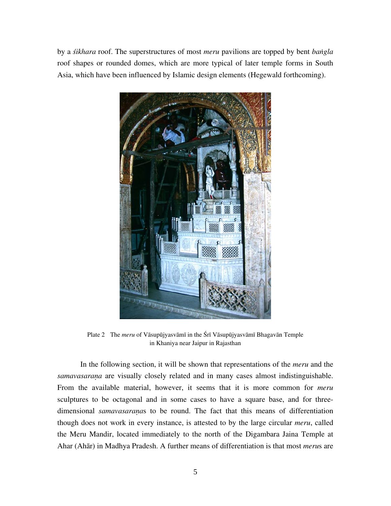by a *śikhara* roof. The superstructures of most *meru* pavilions are topped by bent *baṅgla* roof shapes or rounded domes, which are more typical of later temple forms in South Asia, which have been influenced by Islamic design elements (Hegewald forthcoming).



Plate 2 The *meru* of Vāsupūjyasvāmī in the Śrī Vāsupūjyasvāmī Bhagavān Temple in Khaniya near Jaipur in Rajasthan

In the following section, it will be shown that representations of the *meru* and the *samavasaraṇa* are visually closely related and in many cases almost indistinguishable. From the available material, however, it seems that it is more common for *meru* sculptures to be octagonal and in some cases to have a square base, and for threedimensional *samavasaraṇa*s to be round. The fact that this means of differentiation though does not work in every instance, is attested to by the large circular *meru*, called the Meru Mandir, located immediately to the north of the Digambara Jaina Temple at Ahar (Ahār) in Madhya Pradesh. A further means of differentiation is that most *meru*s are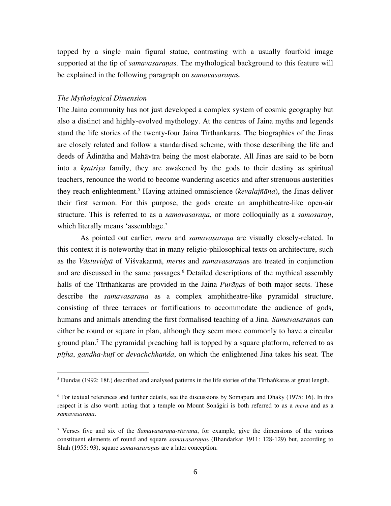topped by a single main figural statue, contrasting with a usually fourfold image supported at the tip of *samavasaraṇa*s. The mythological background to this feature will be explained in the following paragraph on *samavasaraṇa*s.

# *The Mythological Dimension*

 $\overline{a}$ 

The Jaina community has not just developed a complex system of cosmic geography but also a distinct and highly-evolved mythology. At the centres of Jaina myths and legends stand the life stories of the twenty-four Jaina Tīrthaṅkaras. The biographies of the Jinas are closely related and follow a standardised scheme, with those describing the life and deeds of Ādinātha and Mahāvīra being the most elaborate. All Jinas are said to be born into a *kṣatriya* family, they are awakened by the gods to their destiny as spiritual teachers, renounce the world to become wandering ascetics and after strenuous austerities they reach enlightenment.5 Having attained omniscience (*kevalajñāna*), the Jinas deliver their first sermon. For this purpose, the gods create an amphitheatre-like open-air structure. This is referred to as a *samavasaraṇa*, or more colloquially as a *samosaraṇ*, which literally means 'assemblage.'

As pointed out earlier, *meru* and *samavasaraṇa* are visually closely-related. In this context it is noteworthy that in many religio-philosophical texts on architecture, such as the *Vāstuvidyā* of Viśvakarmā, *meru*s and *samavasaraṇa*s are treated in conjunction and are discussed in the same passages.<sup>6</sup> Detailed descriptions of the mythical assembly halls of the Tīrthaṅkaras are provided in the Jaina *Purāṇa*s of both major sects. These describe the *samavasaraṇa* as a complex amphitheatre-like pyramidal structure, consisting of three terraces or fortifications to accommodate the audience of gods, humans and animals attending the first formalised teaching of a Jina. *Samavasaraṇa*s can either be round or square in plan, although they seem more commonly to have a circular ground plan.7 The pyramidal preaching hall is topped by a square platform, referred to as *pīṭha*, *gandha-kuṭī* or *devachchhaṅda*, on which the enlightened Jina takes his seat. The

<sup>&</sup>lt;sup>5</sup> Dundas (1992: 18f.) described and analysed patterns in the life stories of the Tīrthaṅkaras at great length.

<sup>6</sup> For textual references and further details, see the discussions by Somapura and Dhaky (1975: 16). In this respect it is also worth noting that a temple on Mount Sonāgiri is both referred to as a *meru* and as a *samavasaraṇa*.

<sup>7</sup> Verses five and six of the *Samavasaraṇa-stavana*, for example, give the dimensions of the various constituent elements of round and square *samavasaraṇa*s (Bhandarkar 1911: 128-129) but, according to Shah (1955: 93), square *samavasaraṇa*s are a later conception.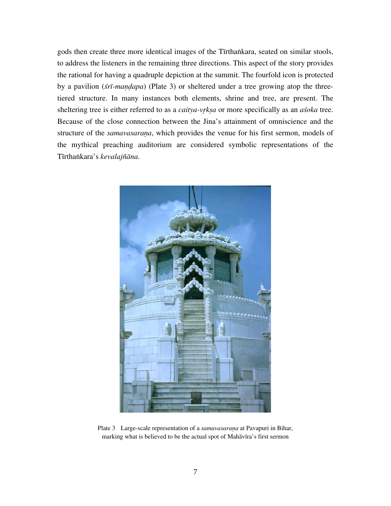gods then create three more identical images of the Tīrthaṅkara, seated on similar stools, to address the listeners in the remaining three directions. This aspect of the story provides the rational for having a quadruple depiction at the summit. The fourfold icon is protected by a pavilion (*śrī-maṇḍapa*) (Plate 3) or sheltered under a tree growing atop the threetiered structure. In many instances both elements, shrine and tree, are present. The sheltering tree is either referred to as a *caitya-vr̥kṣa* or more specifically as an *aśoka* tree. Because of the close connection between the Jina's attainment of omniscience and the structure of the *samavasaraṇa*, which provides the venue for his first sermon, models of the mythical preaching auditorium are considered symbolic representations of the Tīrthaṅkara's *kevalajñāna*.



Plate 3 Large-scale representation of a *samavasaraṇa* at Pavapuri in Bihar, marking what is believed to be the actual spot of Mahāvīra's first sermon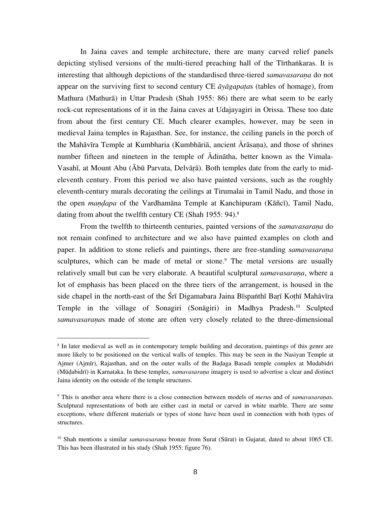In Jaina caves and temple architecture, there are many carved relief panels depicting stylised versions of the multi-tiered preaching hall of the Tīrthaṅkaras. It is interesting that although depictions of the standardised three-tiered *samavasarana* do not appear on the surviving first to second century CE *āyāgapaṭa*s (tables of homage), from Mathura (Mathurā) in Uttar Pradesh (Shah 1955: 86) there are what seem to be early rock-cut representations of it in the Jaina caves at Udajayagiri in Orissa. These too date from about the first century CE. Much clearer examples, however, may be seen in medieval Jaina temples in Rajasthan. See, for instance, the ceiling panels in the porch of the Mahāvīra Temple at Kumbharia (Kumbhāriā, ancient Ārāsaṇa), and those of shrines number fifteen and nineteen in the temple of Ādinātha, better known as the Vimala-Vasahī, at Mount Abu (Ābū Parvata, Delvāṛā). Both temples date from the early to mideleventh century. From this period we also have painted versions, such as the roughly eleventh-century murals decorating the ceilings at Tirumalai in Tamil Nadu, and those in the open *maṇḍapa* of the Vardhamāna Temple at Kanchipuram (Kāñcī), Tamil Nadu, dating from about the twelfth century CE (Shah 1955: 94).<sup>8</sup>

From the twelfth to thirteenth centuries, painted versions of the *samavasarana* do not remain confined to architecture and we also have painted examples on cloth and paper. In addition to stone reliefs and paintings, there are free-standing *samavasaraṇa* sculptures, which can be made of metal or stone.<sup>9</sup> The metal versions are usually relatively small but can be very elaborate. A beautiful sculptural *samavasaraṇa*, where a lot of emphasis has been placed on the three tiers of the arrangement, is housed in the side chapel in the north-east of the Śrī Digamabara Jaina Bīspaṅthī Barī Kothī Mahāvīra Temple in the village of Sonagiri (Sonāgiri) in Madhya Pradesh.10 Sculpted *samavasaraṇa*s made of stone are often very closely related to the three-dimensional

<sup>&</sup>lt;sup>8</sup> In later medieval as well as in contemporary temple building and decoration, paintings of this genre are more likely to be positioned on the vertical walls of temples. This may be seen in the Nasiyan Temple at Ajmer (Ajmīr), Rajasthan, and on the outer walls of the Baḍaga Basadi temple complex at Mudabidri (Mūḍabidrī) in Karnataka. In these temples, *samavasaraṇa* imagery is used to advertise a clear and distinct Jaina identity on the outside of the temple structures.

<sup>9</sup> This is another area where there is a close connection between models of *meru*s and of *samavasaraṇa*s. Sculptural representations of both are either cast in metal or carved in white marble. There are some exceptions, where different materials or types of stone have been used in connection with both types of structures.

<sup>&</sup>lt;sup>10</sup> Shah mentions a similar *samavasarana* bronze from Surat (Sūrat) in Gujarat, dated to about 1065 CE. This has been illustrated in his study (Shah 1955: figure 76).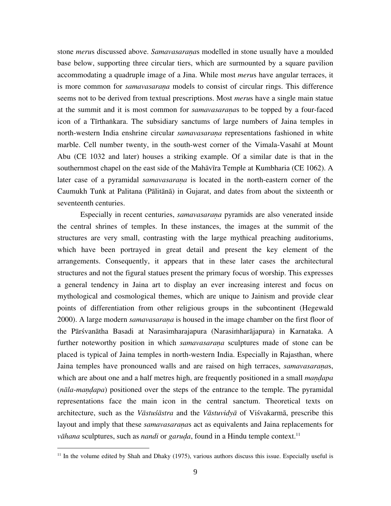stone *meru*s discussed above. *Samavasaraṇa*s modelled in stone usually have a moulded base below, supporting three circular tiers, which are surmounted by a square pavilion accommodating a quadruple image of a Jina. While most *meru*s have angular terraces, it is more common for *samavasaraṇa* models to consist of circular rings. This difference seems not to be derived from textual prescriptions. Most *meru*s have a single main statue at the summit and it is most common for *samavasaraṇa*s to be topped by a four-faced icon of a Tīrthaṅkara. The subsidiary sanctums of large numbers of Jaina temples in north-western India enshrine circular *samavasaraṇa* representations fashioned in white marble. Cell number twenty, in the south-west corner of the Vimala-Vasahī at Mount Abu (CE 1032 and later) houses a striking example. Of a similar date is that in the southernmost chapel on the east side of the Mahāvīra Temple at Kumbharia (CE 1062). A later case of a pyramidal *samavasarana* is located in the north-eastern corner of the Caumukh Tuṅk at Palitana (Pālitānā) in Gujarat, and dates from about the sixteenth or seventeenth centuries.

Especially in recent centuries, *samavasaraṇa* pyramids are also venerated inside the central shrines of temples. In these instances, the images at the summit of the structures are very small, contrasting with the large mythical preaching auditoriums, which have been portrayed in great detail and present the key element of the arrangements. Consequently, it appears that in these later cases the architectural structures and not the figural statues present the primary focus of worship. This expresses a general tendency in Jaina art to display an ever increasing interest and focus on mythological and cosmological themes, which are unique to Jainism and provide clear points of differentiation from other religious groups in the subcontinent (Hegewald 2000). A large modern *samavasaraṇa* is housed in the image chamber on the first floor of the Pārśvanātha Basadi at Narasimharajapura (Narasiṁharājapura) in Karnataka. A further noteworthy position in which *samavasarana* sculptures made of stone can be placed is typical of Jaina temples in north-western India. Especially in Rajasthan, where Jaina temples have pronounced walls and are raised on high terraces, *samavasaraṇa*s, which are about one and a half metres high, are frequently positioned in a small *mandapa* (*nāla*-*maṇḍapa*) positioned over the steps of the entrance to the temple. The pyramidal representations face the main icon in the central sanctum. Theoretical texts on architecture, such as the *Vāstuśāstra* and the *Vāstuvidyā* of Viśvakarmā, prescribe this layout and imply that these *samavasaranas* act as equivalents and Jaina replacements for *vāhana* sculptures, such as *nandi* or *garuda*, found in a Hindu temple context.<sup>11</sup>

 $11$  In the volume edited by Shah and Dhaky (1975), various authors discuss this issue. Especially useful is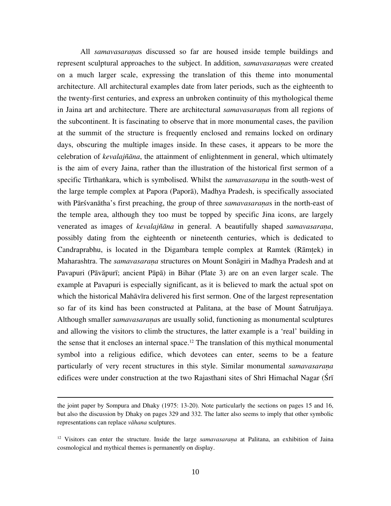All *samavasaraṇa*s discussed so far are housed inside temple buildings and represent sculptural approaches to the subject. In addition, *samavasaraṇa*s were created on a much larger scale, expressing the translation of this theme into monumental architecture. All architectural examples date from later periods, such as the eighteenth to the twenty-first centuries, and express an unbroken continuity of this mythological theme in Jaina art and architecture. There are architectural *samavasaraṇa*s from all regions of the subcontinent. It is fascinating to observe that in more monumental cases, the pavilion at the summit of the structure is frequently enclosed and remains locked on ordinary days, obscuring the multiple images inside. In these cases, it appears to be more the celebration of *kevalajñāna*, the attainment of enlightenment in general, which ultimately is the aim of every Jaina, rather than the illustration of the historical first sermon of a specific Tīrthaṅkara, which is symbolised. Whilst the *samavasaraṇa* in the south-west of the large temple complex at Papora (Paporā), Madhya Pradesh, is specifically associated with Pārśvanātha's first preaching, the group of three *samavasaraṇa*s in the north-east of the temple area, although they too must be topped by specific Jina icons, are largely venerated as images of *kevalajñāna* in general. A beautifully shaped *samavasaraṇa*, possibly dating from the eighteenth or nineteenth centuries, which is dedicated to Candraprabhu, is located in the Digambara temple complex at Ramtek (Rāmṭek) in Maharashtra. The *samavasaraṇa* structures on Mount Sonāgiri in Madhya Pradesh and at Pavapuri (Pāvāpurī; ancient Pāpā) in Bihar (Plate 3) are on an even larger scale. The example at Pavapuri is especially significant, as it is believed to mark the actual spot on which the historical Mahāvīra delivered his first sermon. One of the largest representation so far of its kind has been constructed at Palitana, at the base of Mount Śatruñjaya. Although smaller *samavasaraṇa*s are usually solid, functioning as monumental sculptures and allowing the visitors to climb the structures, the latter example is a 'real' building in the sense that it encloses an internal space.<sup>12</sup> The translation of this mythical monumental symbol into a religious edifice, which devotees can enter, seems to be a feature particularly of very recent structures in this style. Similar monumental *samavasarana* edifices were under construction at the two Rajasthani sites of Shri Himachal Nagar (Śrī

the joint paper by Sompura and Dhaky (1975: 13-20). Note particularly the sections on pages 15 and 16, but also the discussion by Dhaky on pages 329 and 332. The latter also seems to imply that other symbolic representations can replace *vāhana* sculptures.

<sup>12</sup> Visitors can enter the structure. Inside the large *samavasaraṇa* at Palitana, an exhibition of Jaina cosmological and mythical themes is permanently on display.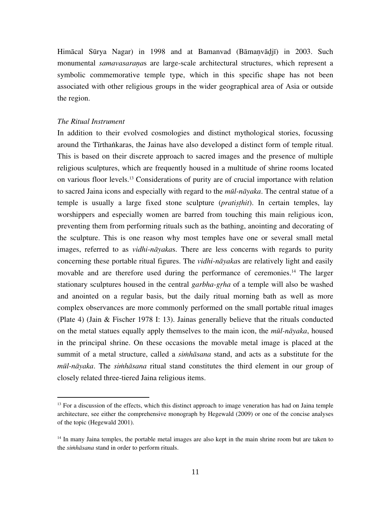Himācal Sūrya Nagar) in 1998 and at Bamanvad (Bāmaṇvāḍjī) in 2003. Such monumental *samavasaraṇa*s are large-scale architectural structures, which represent a symbolic commemorative temple type, which in this specific shape has not been associated with other religious groups in the wider geographical area of Asia or outside the region.

#### *The Ritual Instrument*

 $\overline{a}$ 

In addition to their evolved cosmologies and distinct mythological stories, focussing around the Tīrthaṅkaras, the Jainas have also developed a distinct form of temple ritual. This is based on their discrete approach to sacred images and the presence of multiple religious sculptures, which are frequently housed in a multitude of shrine rooms located on various floor levels.13 Considerations of purity are of crucial importance with relation to sacred Jaina icons and especially with regard to the *mūl-nāyaka*. The central statue of a temple is usually a large fixed stone sculpture (*pratiṣṭhit*). In certain temples, lay worshippers and especially women are barred from touching this main religious icon, preventing them from performing rituals such as the bathing, anointing and decorating of the sculpture. This is one reason why most temples have one or several small metal images, referred to as *vidhi-nāyaka*s. There are less concerns with regards to purity concerning these portable ritual figures. The *vidhi-nāyaka*s are relatively light and easily movable and are therefore used during the performance of ceremonies.<sup>14</sup> The larger stationary sculptures housed in the central *garbha-gṛha* of a temple will also be washed and anointed on a regular basis, but the daily ritual morning bath as well as more complex observances are more commonly performed on the small portable ritual images (Plate 4) (Jain & Fischer 1978 I: 13). Jainas generally believe that the rituals conducted on the metal statues equally apply themselves to the main icon, the *mūl-nāyaka*, housed in the principal shrine. On these occasions the movable metal image is placed at the summit of a metal structure, called a *siṁhāsana* stand, and acts as a substitute for the *mūl-nāyaka*. The *siṁhāsana* ritual stand constitutes the third element in our group of closely related three-tiered Jaina religious items.

<sup>&</sup>lt;sup>13</sup> For a discussion of the effects, which this distinct approach to image veneration has had on Jaina temple architecture, see either the comprehensive monograph by Hegewald (2009) or one of the concise analyses of the topic (Hegewald 2001).

<sup>&</sup>lt;sup>14</sup> In many Jaina temples, the portable metal images are also kept in the main shrine room but are taken to the *siṁhāsana* stand in order to perform rituals.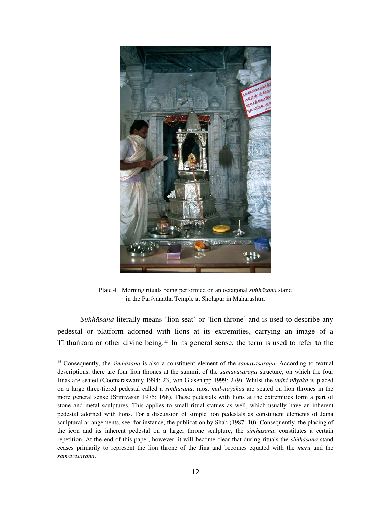

Plate 4 Morning rituals being performed on an octagonal *siṁhāsana* stand in the Pārśvanātha Temple at Sholapur in Maharashtra

*Siṁhāsana* literally means 'lion seat' or 'lion throne' and is used to describe any pedestal or platform adorned with lions at its extremities, carrying an image of a Tirthankara or other divine being.<sup>15</sup> In its general sense, the term is used to refer to the

<sup>&</sup>lt;sup>15</sup> Consequently, the *simhāsana* is also a constituent element of the *samavasarana*. According to textual descriptions, there are four lion thrones at the summit of the *samavasaraṇa* structure, on which the four Jinas are seated (Coomaraswamy 1994: 23; von Glasenapp 1999: 279). Whilst the *vidhi-nāyaka* is placed on a large three-tiered pedestal called a *siṁhāsana*, most *mūl-nāyaka*s are seated on lion thrones in the more general sense (Srinivasan 1975: 168). These pedestals with lions at the extremities form a part of stone and metal sculptures. This applies to small ritual statues as well, which usually have an inherent pedestal adorned with lions. For a discussion of simple lion pedestals as constituent elements of Jaina sculptural arrangements, see, for instance, the publication by Shah (1987: 10). Consequently, the placing of the icon and its inherent pedestal on a larger throne sculpture, the *siṁhāsana*, constitutes a certain repetition. At the end of this paper, however, it will become clear that during rituals the *siṁhāsana* stand ceases primarily to represent the lion throne of the Jina and becomes equated with the *meru* and the *samavasaraṇa*.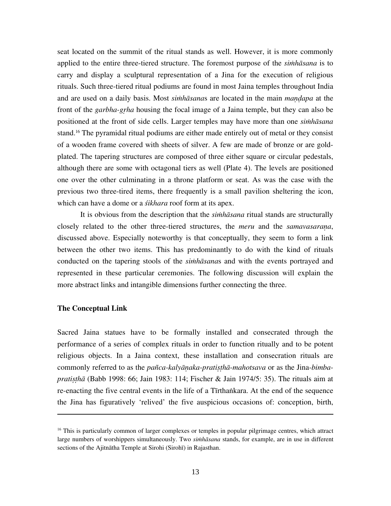seat located on the summit of the ritual stands as well. However, it is more commonly applied to the entire three-tiered structure. The foremost purpose of the *siṁhāsana* is to carry and display a sculptural representation of a Jina for the execution of religious rituals. Such three-tiered ritual podiums are found in most Jaina temples throughout India and are used on a daily basis. Most *siṁhāsana*s are located in the main *maṇḍapa* at the front of the *garbha-gṛha* housing the focal image of a Jaina temple, but they can also be positioned at the front of side cells. Larger temples may have more than one *siṁhāsana* stand.16 The pyramidal ritual podiums are either made entirely out of metal or they consist of a wooden frame covered with sheets of silver. A few are made of bronze or are goldplated. The tapering structures are composed of three either square or circular pedestals, although there are some with octagonal tiers as well (Plate 4). The levels are positioned one over the other culminating in a throne platform or seat. As was the case with the previous two three-tired items, there frequently is a small pavilion sheltering the icon, which can have a dome or a *śikhara* roof form at its apex.

It is obvious from the description that the *siṁhāsana* ritual stands are structurally closely related to the other three-tiered structures, the *meru* and the *samavasaraṇa*, discussed above. Especially noteworthy is that conceptually, they seem to form a link between the other two items. This has predominantly to do with the kind of rituals conducted on the tapering stools of the *siṁhāsana*s and with the events portrayed and represented in these particular ceremonies. The following discussion will explain the more abstract links and intangible dimensions further connecting the three.

#### **The Conceptual Link**

 $\overline{a}$ 

Sacred Jaina statues have to be formally installed and consecrated through the performance of a series of complex rituals in order to function ritually and to be potent religious objects. In a Jaina context, these installation and consecration rituals are commonly referred to as the *pañca-kalyāṇaka*-*pratiṣṭhā*-*mahotsava* or as the Jina*-bimbapratiṣṭhā* (Babb 1998: 66; Jain 1983: 114; Fischer & Jain 1974/5: 35). The rituals aim at re-enacting the five central events in the life of a Tīrthaṅkara. At the end of the sequence the Jina has figuratively 'relived' the five auspicious occasions of: conception, birth,

<sup>&</sup>lt;sup>16</sup> This is particularly common of larger complexes or temples in popular pilgrimage centres, which attract large numbers of worshippers simultaneously. Two *siṁhāsana* stands, for example, are in use in different sections of the Ajitnātha Temple at Sirohi (Sirohī) in Rajasthan.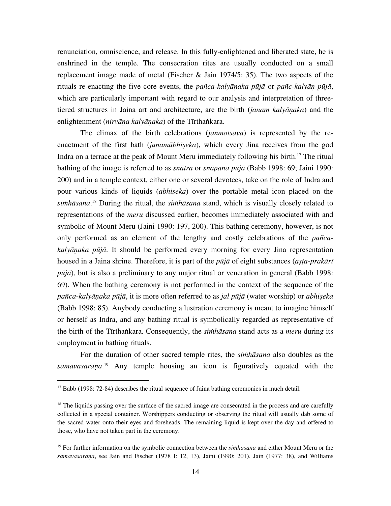renunciation, omniscience, and release. In this fully-enlightened and liberated state, he is enshrined in the temple. The consecration rites are usually conducted on a small replacement image made of metal (Fischer & Jain 1974/5: 35). The two aspects of the rituals re-enacting the five core events, the *pañca*-*kalyāṇaka pūjā* or *pañc*-*kalyāṇ pūjā*, which are particularly important with regard to our analysis and interpretation of threetiered structures in Jaina art and architecture, are the birth (*janam kalyāṇaka*) and the enlightenment (*nirvāṇa kalyāṇaka*) of the Tīrthaṅkara.

The climax of the birth celebrations (*janmotsava*) is represented by the reenactment of the first bath (*janamābhiṣeka*), which every Jina receives from the god Indra on a terrace at the peak of Mount Meru immediately following his birth.<sup>17</sup> The ritual bathing of the image is referred to as *snātra* or *snāpana pūjā* (Babb 1998: 69; Jaini 1990: 200) and in a temple context, either one or several devotees, take on the role of Indra and pour various kinds of liquids (*abhiṣeka*) over the portable metal icon placed on the *siṁhāsana*. 18 During the ritual, the *siṁhāsana* stand, which is visually closely related to representations of the *meru* discussed earlier, becomes immediately associated with and symbolic of Mount Meru (Jaini 1990: 197, 200). This bathing ceremony, however, is not only performed as an element of the lengthy and costly celebrations of the *pañcakalyāṇaka pūjā*. It should be performed every morning for every Jina representation housed in a Jaina shrine. Therefore, it is part of the *pūjā* of eight substances (*aṣṭa-prakārī pūjā*), but is also a preliminary to any major ritual or veneration in general (Babb 1998: 69). When the bathing ceremony is not performed in the context of the sequence of the *pañca*-*kalyāṇaka pūjā*, it is more often referred to as *jal pūjā* (water worship) or *abhiṣeka* (Babb 1998: 85). Anybody conducting a lustration ceremony is meant to imagine himself or herself as Indra, and any bathing ritual is symbolically regarded as representative of the birth of the Tīrthaṅkara. Consequently, the *siṁhāsana* stand acts as a *meru* during its employment in bathing rituals.

For the duration of other sacred temple rites, the *siṁhāsana* also doubles as the *samavasaraṇa*. 19 Any temple housing an icon is figuratively equated with the

<sup>&</sup>lt;sup>17</sup> Babb (1998: 72-84) describes the ritual sequence of Jaina bathing ceremonies in much detail.

<sup>&</sup>lt;sup>18</sup> The liquids passing over the surface of the sacred image are consecrated in the process and are carefully collected in a special container. Worshippers conducting or observing the ritual will usually dab some of the sacred water onto their eyes and foreheads. The remaining liquid is kept over the day and offered to those, who have not taken part in the ceremony.

<sup>19</sup> For further information on the symbolic connection between the *siṁhāsana* and either Mount Meru or the *samavasaraṇa*, see Jain and Fischer (1978 I: 12, 13), Jaini (1990: 201), Jain (1977: 38), and Williams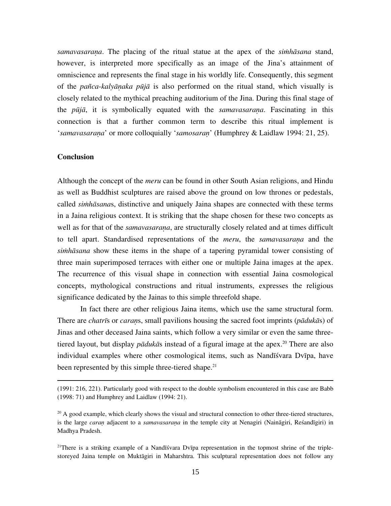*samavasaraṇa*. The placing of the ritual statue at the apex of the *siṁhāsana* stand, however, is interpreted more specifically as an image of the Jina's attainment of omniscience and represents the final stage in his worldly life. Consequently, this segment of the *pañca*-*kalyāṇaka pūjā* is also performed on the ritual stand, which visually is closely related to the mythical preaching auditorium of the Jina. During this final stage of the *pūjā*, it is symbolically equated with the *samavasaraṇa*. Fascinating in this connection is that a further common term to describe this ritual implement is '*samavasaraṇa*' or more colloquially '*samosaraṇ*' (Humphrey & Laidlaw 1994: 21, 25).

#### **Conclusion**

 $\overline{a}$ 

Although the concept of the *meru* can be found in other South Asian religions, and Hindu as well as Buddhist sculptures are raised above the ground on low thrones or pedestals, called *siṁhāsana*s, distinctive and uniquely Jaina shapes are connected with these terms in a Jaina religious context. It is striking that the shape chosen for these two concepts as well as for that of the *samavasarana*, are structurally closely related and at times difficult to tell apart. Standardised representations of the *meru*, the *samavasaraṇa* and the *siṁhāsana* show these items in the shape of a tapering pyramidal tower consisting of three main superimposed terraces with either one or multiple Jaina images at the apex. The recurrence of this visual shape in connection with essential Jaina cosmological concepts, mythological constructions and ritual instruments, expresses the religious significance dedicated by the Jainas to this simple threefold shape.

In fact there are other religious Jaina items, which use the same structural form. There are *chatrī*s or *caraṇ*s, small pavilions housing the sacred foot imprints (*pādukā*s) of Jinas and other deceased Jaina saints, which follow a very similar or even the same threetiered layout, but display *pādukā*s instead of a figural image at the apex.<sup>20</sup> There are also individual examples where other cosmological items, such as Nandīśvara Dvīpa, have been represented by this simple three-tiered shape.<sup>21</sup>

<sup>21</sup>There is a striking example of a Nandīšvara Dvīpa representation in the topmost shrine of the triplestoreyed Jaina temple on Muktāgiri in Maharshtra. This sculptural representation does not follow any

<sup>(1991: 216, 221).</sup> Particularly good with respect to the double symbolism encountered in this case are Babb (1998: 71) and Humphrey and Laidlaw (1994: 21).

<sup>&</sup>lt;sup>20</sup> A good example, which clearly shows the visual and structural connection to other three-tiered structures, is the large *caran* adjacent to a *samavasarana* in the temple city at Nenagiri (Naināgiri, Reśandīgiri) in Madhya Pradesh.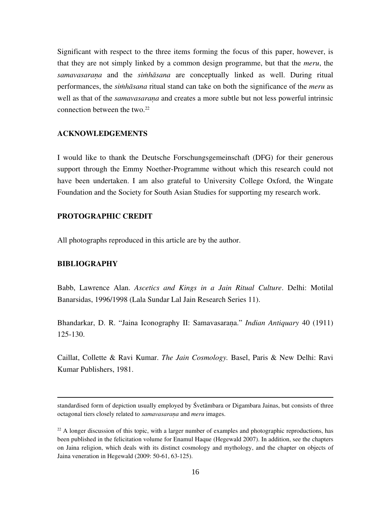Significant with respect to the three items forming the focus of this paper, however, is that they are not simply linked by a common design programme, but that the *meru*, the *samavasaraṇa* and the *siṁhāsana* are conceptually linked as well. During ritual performances, the *siṁhāsana* ritual stand can take on both the significance of the *meru* as well as that of the *samavasarana* and creates a more subtle but not less powerful intrinsic connection between the two.<sup>22</sup>

# **ACKNOWLEDGEMENTS**

I would like to thank the Deutsche Forschungsgemeinschaft (DFG) for their generous support through the Emmy Noether-Programme without which this research could not have been undertaken. I am also grateful to University College Oxford, the Wingate Foundation and the Society for South Asian Studies for supporting my research work.

# **PROTOGRAPHIC CREDIT**

All photographs reproduced in this article are by the author.

### **BIBLIOGRAPHY**

 $\overline{a}$ 

Babb, Lawrence Alan. *Ascetics and Kings in a Jain Ritual Culture*. Delhi: Motilal Banarsidas, 1996/1998 (Lala Sundar Lal Jain Research Series 11).

Bhandarkar, D. R. "Jaina Iconography II: Samavasaraṇa." *Indian Antiquary* 40 (1911) 125-130.

Caillat, Collette & Ravi Kumar. *The Jain Cosmology.* Basel, Paris & New Delhi: Ravi Kumar Publishers, 1981.

standardised form of depiction usually employed by Śvetāmbara or Digambara Jainas, but consists of three octagonal tiers closely related to *samavasaraṇa* and *meru* images.

 $22$  A longer discussion of this topic, with a larger number of examples and photographic reproductions, has been published in the felicitation volume for Enamul Haque (Hegewald 2007). In addition, see the chapters on Jaina religion, which deals with its distinct cosmology and mythology, and the chapter on objects of Jaina veneration in Hegewald (2009: 50-61, 63-125).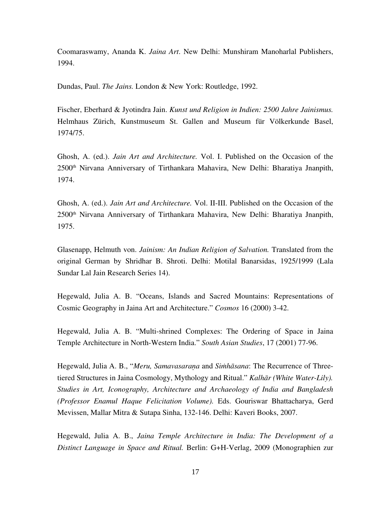Coomaraswamy, Ananda K. *Jaina Art*. New Delhi: Munshiram Manoharlal Publishers, 1994.

Dundas, Paul. *The Jains.* London & New York: Routledge, 1992.

Fischer, Eberhard & Jyotindra Jain. *Kunst und Religion in Indien: 2500 Jahre Jainismus.* Helmhaus Zürich, Kunstmuseum St. Gallen and Museum für Völkerkunde Basel, 1974/75.

Ghosh, A. (ed.). *Jain Art and Architecture.* Vol. I. Published on the Occasion of the 2500th Nirvana Anniversary of Tirthankara Mahavira, New Delhi: Bharatiya Jnanpith, 1974.

Ghosh, A. (ed.). *Jain Art and Architecture.* Vol. II-III. Published on the Occasion of the 2500th Nirvana Anniversary of Tirthankara Mahavira, New Delhi: Bharatiya Jnanpith, 1975.

Glasenapp, Helmuth von. *Jainism: An Indian Religion of Salvation.* Translated from the original German by Shridhar B. Shroti. Delhi: Motilal Banarsidas, 1925/1999 (Lala Sundar Lal Jain Research Series 14).

Hegewald, Julia A. B. "Oceans, Islands and Sacred Mountains: Representations of Cosmic Geography in Jaina Art and Architecture." *Cosmos* 16 (2000) 3-42.

Hegewald, Julia A. B. "Multi-shrined Complexes: The Ordering of Space in Jaina Temple Architecture in North-Western India." *South Asian Studies*, 17 (2001) 77-96.

Hegewald, Julia A. B., "*Meru, Samavasaraṇa* and *Siṁhāsana*: The Recurrence of Threetiered Structures in Jaina Cosmology, Mythology and Ritual." *Kalhār (White Water-Lily). Studies in Art, Iconography, Architecture and Archaeology of India and Bangladesh (Professor Enamul Haque Felicitation Volume).* Eds. Gouriswar Bhattacharya, Gerd Mevissen, Mallar Mitra & Sutapa Sinha, 132-146. Delhi: Kaveri Books, 2007.

Hegewald, Julia A. B., *Jaina Temple Architecture in India: The Development of a Distinct Language in Space and Ritual.* Berlin: G+H-Verlag, 2009 (Monographien zur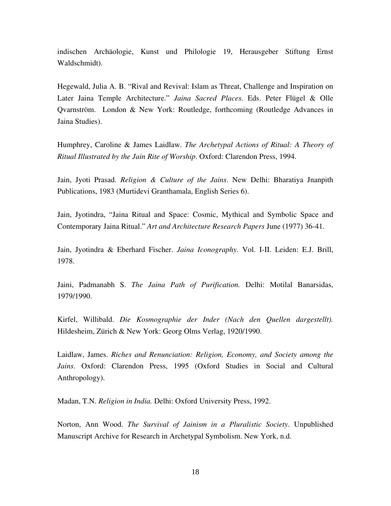indischen Archäologie, Kunst und Philologie 19, Herausgeber Stiftung Ernst Waldschmidt).

Hegewald, Julia A. B. "Rival and Revival: Islam as Threat, Challenge and Inspiration on Later Jaina Temple Architecture." *Jaina Sacred Places.* Eds. Peter Flügel & Olle Qvarnström. London & New York: Routledge, forthcoming (Routledge Advances in Jaina Studies).

Humphrey, Caroline & James Laidlaw. *The Archetypal Actions of Ritual: A Theory of Ritual Illustrated by the Jain Rite of Worship*. Oxford: Clarendon Press, 1994.

Jain, Jyoti Prasad. *Religion & Culture of the Jains*. New Delhi: Bharatiya Jnanpith Publications, 1983 (Murtidevi Granthamala, English Series 6).

Jain, Jyotindra, "Jaina Ritual and Space: Cosmic, Mythical and Symbolic Space and Contemporary Jaina Ritual." *Art and Architecture Research Papers* June (1977) 36-41.

Jain, Jyotindra & Eberhard Fischer. *Jaina Iconography.* Vol. I-II. Leiden: E.J. Brill, 1978.

Jaini, Padmanabh S. *The Jaina Path of Purification.* Delhi: Motilal Banarsidas, 1979/1990.

Kirfel, Willibald. *Die Kosmographie der Inder (Nach den Quellen dargestellt).*  Hildesheim, Zürich & New York: Georg Olms Verlag, 1920/1990.

Laidlaw, James. *Riches and Renunciation: Religion, Economy, and Society among the Jains*. Oxford: Clarendon Press, 1995 (Oxford Studies in Social and Cultural Anthropology).

Madan, T.N. *Religion in India.* Delhi: Oxford University Press, 1992.

Norton, Ann Wood. *The Survival of Jainism in a Pluralistic Society*. Unpublished Manuscript Archive for Research in Archetypal Symbolism. New York, n.d.